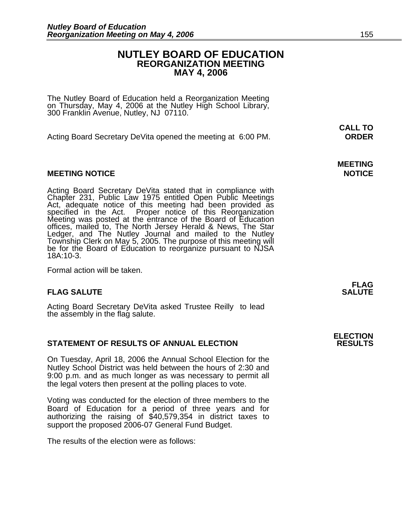### **NUTLEY BOARD OF EDUCATION REORGANIZATION MEETING MAY 4, 2006**

The Nutley Board of Education held a Reorganization Meeting on Thursday, May 4, 2006 at the Nutley High School Library, 300 Franklin Avenue, Nutley, NJ 07110.

Acting Board Secretary DeVita opened the meeting at 6:00 PM. **ORDER**

#### **MEETING NOTICE NOTICE AND INSTRUCCE**

Acting Board Secretary DeVita stated that in compliance with<br>Chapter 231, Public Law 1975 entitled Open Public Meetings<br>Act, adequate notice of this meeting had been provided as<br>specified in the Act. Proper notice of this offices, mailed to, The North Jersey Herald & News, The Star<br>Ledger, and The Nutley Journal and mailed to the Nutley Township Clerk on May 5, 2005. The purpose of this meeting will<br>be for the Board of Education to reorganize pursuant to NJSA<br>18A:10-3.

Formal action will be taken.

#### **FLAG SALUTE** SALUTE

Acting Board Secretary DeVita asked Trustee Reilly to lead the assembly in the flag salute.

#### **STATEMENT OF RESULTS OF ANNUAL ELECTION**

On Tuesday, April 18, 2006 the Annual School Election for the Nutley School District was held between the hours of 2:30 and 9:00 p.m. and as much longer as was necessary to permit all the legal voters then present at the polling places to vote.

Voting was conducted for the election of three members to the Board of Education for a period of three years and for authorizing the raising of \$40,579,354 in district taxes to support the proposed 2006-07 General Fund Budget.

The results of the election were as follows:

 **CALL TO** 

**MEETING** 

**FLAG** 

**ELECTION**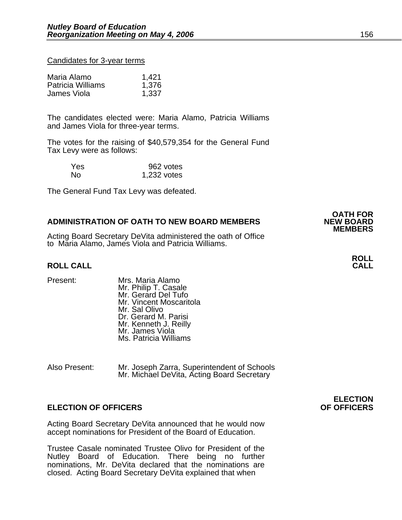#### Candidates for 3-year terms

| Maria Alamo              | 1,421 |
|--------------------------|-------|
| <b>Patricia Williams</b> | 1,376 |
| James Viola              | 1,337 |

The candidates elected were: Maria Alamo, Patricia Williams and James Viola for three-year terms.

The votes for the raising of \$40,579,354 for the General Fund Tax Levy were as follows:

| Yes. | 962 votes   |
|------|-------------|
| Nο   | 1,232 votes |

The General Fund Tax Levy was defeated.

#### **ADMINISTRATION OF OATH TO NEW BOARD MEMBERS**

Acting Board Secretary DeVita administered the oath of Office to Maria Alamo, James Viola and Patricia Williams.

#### **ROLL CALL CALL**

- 
- Present: Mrs. Maria Alamo Mr. Philip T. Casale Mr. Gerard Del Tufo Mr. Vincent Moscaritola Mr. Sal Olivo Dr. Gerard M. Parisi Mr. Kenneth J. Reilly Mr. James Viola Ms. Patricia Williams
- Also Present: Mr. Joseph Zarra, Superintendent of Schools Mr. Michael DeVita, Acting Board Secretary

#### **ELECTION OF OFFICERS OF OFFICERS**

Acting Board Secretary DeVita announced that he would now accept nominations for President of the Board of Education.

Trustee Casale nominated Trustee Olivo for President of the Nutley Board of Education. There being no further nominations, Mr. DeVita declared that the nominations are closed. Acting Board Secretary DeVita explained that when

**ELECTION** 

**ROLL** 

**OATH FOR**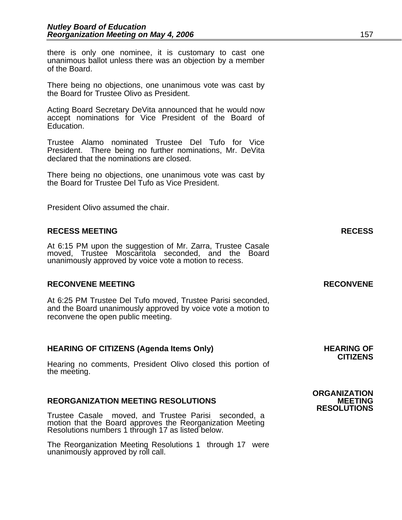there is only one nominee, it is customary to cast one unanimous ballot unless there was an objection by a member of the Board.

There being no objections, one unanimous vote was cast by the Board for Trustee Olivo as President.

Acting Board Secretary DeVita announced that he would now accept nominations for Vice President of the Board of Education.

Trustee Alamo nominated Trustee Del Tufo for Vice President. There being no further nominations, Mr. DeVita declared that the nominations are closed.

There being no objections, one unanimous vote was cast by the Board for Trustee Del Tufo as Vice President.

President Olivo assumed the chair.

#### **RECESS MEETING RECESS**

At 6:15 PM upon the suggestion of Mr. Zarra, Trustee Casale moved, Trustee Moscaritola seconded, and the Board unanimously approved by voice vote a motion to recess.

#### **RECONVENE MEETING RECONVENE**

At 6:25 PM Trustee Del Tufo moved, Trustee Parisi seconded, and the Board unanimously approved by voice vote a motion to reconvene the open public meeting.

#### HEARING OF CITIZENS (Agenda Items Only) **HEARING OF SALL ASSESS**

Hearing no comments, President Olivo closed this portion of the meeting.

#### **REORGANIZATION MEETING RESOLUTIONS**

Trustee Casale moved, and Trustee Parisi seconded, a motion that the Board approves the Reorganization Meeting Resolutions numbers 1 through 17 as listed below.

The Reorganization Meeting Resolutions 1 through 17 were unanimously approved by roll call.

**ORGANIZATION RESOLUTIONS** 

**CITIZENS**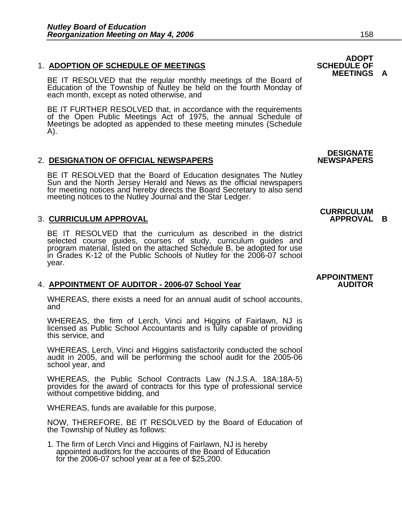#### **1. ADOPTION OF SCHEDULE OF MEETINGS**

BE IT RESOLVED that the regular monthly meetings of the Board of Education of the Township of Nutley be held on the fourth Monday of each month, except as noted otherwise, and

BE IT FURTHER RESOLVED that, in accordance with the requirements of the Open Public Meetings Act of 1975, the annual Schedule of Meetings be adopted as appended to these meeting minutes (Schedule A).

#### 2. DESIGNATION OF OFFICIAL NEWSPAPERS

BE IT RESOLVED that the Board of Education designates The Nutley<br>Sun and the North Jersey Herald and News as the official newspapers<br>for meeting notices and hereby directs the Board Secretary to also send<br>meeting notices t

### **3. CURRICULUM APPROVAL**

BE IT RESOLVED that the curriculum as described in the district selected course guides, courses of study, curriculum guides and program material, listed on the attached Schedule B, be adopted for use<br>in Grades K-12 of the Public Schools of Nutley for the 2006-07 school in Grades K-12 of the Public Schools of Nutley for the 2006-07 school year.

### 4. APPOINTMENT OF AUDITOR - 2006-07 School Year

WHEREAS, there exists a need for an annual audit of school accounts, and

WHEREAS, the firm of Lerch, Vinci and Higgins of Fairlawn, NJ is licensed as Public School Accountants and is fully capable of providing this service, and

WHEREAS, Lerch, Vinci and Higgins satisfactorily conducted the school audit in 2005, and will be performing the school audit for the 2005-06 school year, and

WHEREAS, the Public School Contracts Law (N.J.S.A. 18A:18A-5) provides for the award of contracts for this type of professional service without competitive bidding, and

WHEREAS, funds are available for this purpose,

NOW, THEREFORE, BE IT RESOLVED by the Board of Education of the Township of Nutley as follows:

1. The firm of Lerch Vinci and Higgins of Fairlawn, NJ is hereby appointed auditors for the accounts of the Board of Education for the 2006-07 school year at a fee of \$25,200.

### **ADOPT<br>SCHEDULE OF MEETINGS A**

## **DESIGNATE**

## **CURRICULUM**

## **APPOINTMENT**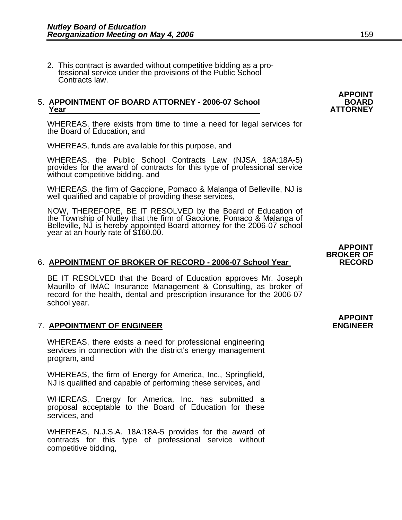2. This contract is awarded without competitive bidding as a pro- fessional service under the provisions of the Public School Contracts law.

## 5. **APPOINTMENT OF BOARD ATTORNEY - 2006-07 School BOARD Year ATTORNEY**

WHEREAS, there exists from time to time a need for legal services for the Board of Education, and

WHEREAS, funds are available for this purpose, and

WHEREAS, the Public School Contracts Law (NJSA 18A:18A-5) provides for the award of contracts for this type of professional service without competitive bidding, and

WHEREAS, the firm of Gaccione, Pomaco & Malanga of Belleville, NJ is well qualified and capable of providing these services,

NOW, THEREFORE, BE IT RESOLVED by the Board of Education of the Township of Nutley that the firm of Gaccione, Pomaco & Malanga of Belleville, NJ is hereby appointed Board attorney for the 2006-07 school year at an hourly r

### BROKER OF<br>BROKER OF BROKER OF RECORD - 2006-07 School Year **RECORD**

BE IT RESOLVED that the Board of Education approves Mr. Joseph Maurillo of IMAC Insurance Management & Consulting, as broker of record for the health, dental and prescription insurance for the 2006-07 school year.

#### 7. **APPOINTMENT OF ENGINEER ENGINEER**

WHEREAS, there exists a need for professional engineering services in connection with the district's energy management program, and

WHEREAS, the firm of Energy for America, Inc., Springfield, NJ is qualified and capable of performing these services, and

WHEREAS, Energy for America, Inc. has submitted a proposal acceptable to the Board of Education for these services, and

WHEREAS, N.J.S.A. 18A:18A-5 provides for the award of contracts for this type of professional service without competitive bidding,

**APPOINT** 

## **APPOINT**

**APPOINT**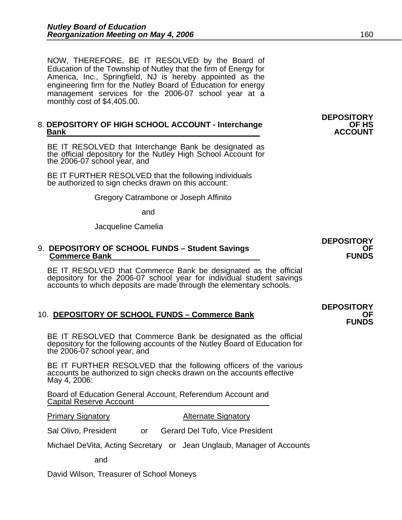NOW, THEREFORE, BE IT RESOLVED by the Board of Education of the Township of Nutley that the firm of Energy for America, Inc., Springfield, NJ is hereby appointed as the engineering firm for the Nutley Board of Education for energy management services for the 2006-07 school year at a monthly cost of \$4,405.00.

#### 8. **DEPOSITORY OF HIGH SCHOOL ACCOUNT - Interchange OF HS Bank** ACCOUNT

BE IT RESOLVED that Interchange Bank be designated as the official depository for the Nutley High School Account for the 2006-07 school year, and

 BE IT FURTHER RESOLVED that the following individuals be authorized to sign checks drawn on this account:

Gregory Catrambone or Joseph Affinito

and

Jacqueline Camelia

#### 9. **DEPOSITORY OF SCHOOL FUNDS – Student Savings OF Commerce Bank Commerce Bank**

BE IT RESOLVED that Commerce Bank be designated as the official depository for the 2006-07 school year for individual student savings accounts to which deposits are made through the elementary schools.

### 10. **DEPOSITORY OF SCHOOL FUNDS – Commerce Bank OF GEE CONSTRUMERY OF SCHOOL FUNDS**

BE IT RESOLVED that Commerce Bank be designated as the official depository for the following accounts of the Nutley Board of Education for the 2006-07 school year, and

BE IT FURTHER RESOLVED that the following officers of the various accounts be authorized to sign checks drawn on the accounts effective May 4, 2006:

Board of Education General Account, Referendum Account and Capital Reserve Account

#### **Primary Signatory Community Alternate Signatory**

Sal Olivo, President or Gerard Del Tufo, Vice President

Michael DeVita, Acting Secretary or Jean Unglaub, Manager of Accounts

and

David Wilson, Treasurer of School Moneys

**DEPOSITORY** 

# **DEPOSITORY**

**DEPOSITORY**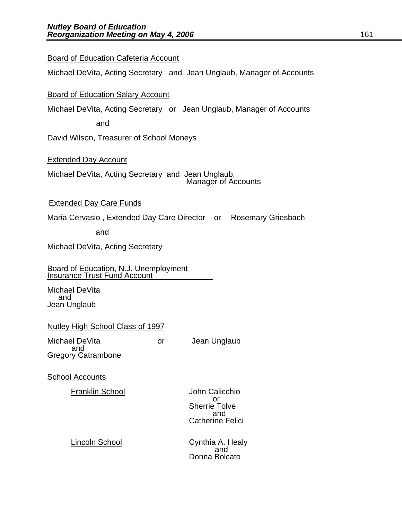**Board of Education Cafeteria Account** 

|                                                                                                          | Board of Education Salary Account                                     |  |
|----------------------------------------------------------------------------------------------------------|-----------------------------------------------------------------------|--|
|                                                                                                          | Michael DeVita, Acting Secretary or Jean Unglaub, Manager of Accounts |  |
|                                                                                                          | and                                                                   |  |
|                                                                                                          | David Wilson, Treasurer of School Moneys                              |  |
| <b>Extended Day Account</b><br>Michael DeVita, Acting Secretary and Jean Unglaub,<br>Manager of Accounts |                                                                       |  |
|                                                                                                          |                                                                       |  |
|                                                                                                          | <b>Extended Day Care Funds</b>                                        |  |
|                                                                                                          | Maria Cervasio, Extended Day Care Director or Rosemary Griesbach      |  |
|                                                                                                          |                                                                       |  |

Michael DeVita, Acting Secretary and Jean Unglaub, Manager of Accounts

and

Michael DeVita, Acting Secretary

Board of Education, N.J. Unemployment Insurance Trust Fund Account

Michael DeVita and Jean Unglaub

#### Nutley High School Class of 1997

Michael DeVita or Jean Unglaub and Gregory Catrambone

School Accounts

Franklin School John Calicchio

 or or<br>Sherrie Tolve<br>and and the contract of the contract of the contract of the contract of the contract of the contract of the contract of the contract of the contract of the contract of the contract of the contract of the contract of the contra Catherine Felici

Lincoln School Cynthia A. Healy<br>and Donna Bolcato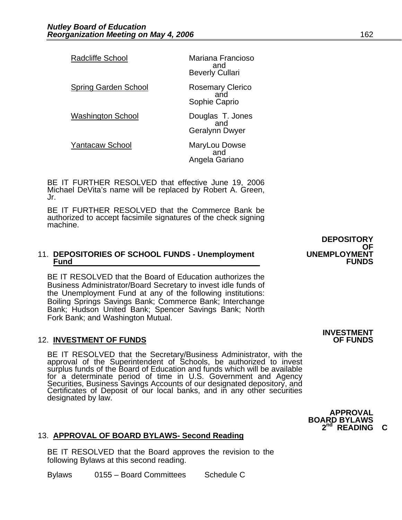| <b>Radcliffe School</b>     | Mariana Francioso<br>and<br><b>Beverly Cullari</b> |
|-----------------------------|----------------------------------------------------|
| <b>Spring Garden School</b> | <b>Rosemary Clerico</b><br>and<br>Sophie Caprio    |
| <b>Washington School</b>    | Douglas T. Jones<br>and<br>Geralynn Dwyer          |
| <b>Yantacaw School</b>      | MaryLou Dowse<br>and<br>Angela Gariano             |

BE IT FURTHER RESOLVED that effective June 19, 2006 Michael DeVita's name will be replaced by Robert A. Green, Jr.

BE IT FURTHER RESOLVED that the Commerce Bank be authorized to accept facsimile signatures of the check signing machine.

#### 11. **DEPOSITORIES OF SCHOOL FUNDS - Unemployment UNEMPLOYMENT Fund FUNDS**

BE IT RESOLVED that the Board of Education authorizes the Business Administrator/Board Secretary to invest idle funds of the Unemployment Fund at any of the following institutions: Boiling Springs Savings Bank; Commerce Bank; Interchange Bank; Hudson United Bank; Spencer Savings Bank; North Fork Bank; and Washington Mutual.

#### **12. INVESTMENT OF FUNDS**

BE IT RESOLVED that the Secretary/Business Administrator, with the approval of the Superintendent of Schools, be authorized to invest surplus funds of the Board of Education and funds which will be available for a determinate period of time in U.S. Government and Agency Securities, Business Savings Accounts of our designated depository, and Certificates of Deposit of our local banks, and in any other securities designated by l

### 13. **APPROVAL OF BOARD BYLAWS- Second Reading**

BE IT RESOLVED that the Board approves the revision to the following Bylaws at this second reading.

Bylaws 0155 – Board Committees Schedule C

**DEPOSITORY**  OF<br>UNEMPLOYMENT

## **INVESTMENT**

**APPROVAL BOARD BYLAWS 2nd READING C**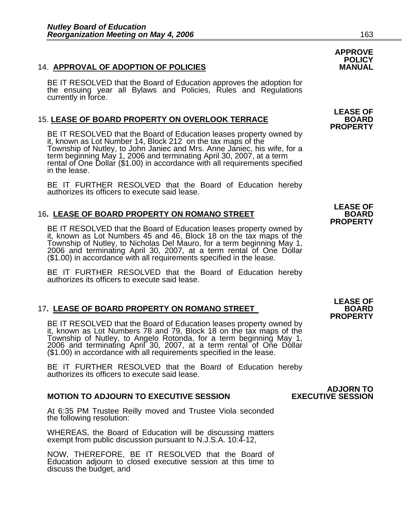#### 14. **APPROVAL OF ADOPTION OF POLICIES MANUAL**

BE IT RESOLVED that the Board of Education approves the adoption for the ensuing year all Bylaws and Policies, Rules and Regulations currently in force.

### 15. **LEASE OF BOARD PROPERTY ON OVERLOOK TERRACE BOARD**

**PROPERTY**<br>
BE IT RESOLVED that the Board of Education leases property owned by<br>
it, known as Lot Number 14, Block 212 on the tax maps of the<br>
Township of Nutley, to John Janiec and Mrs. Anne Janiec, his wife, for a term beginning May 1, 2006 and terminating April 30, 2007, at a term rental of One Dollar (\$1.00) in accordance with all requirements specified<br>in the lease.

BE IT FURTHER RESOLVED that the Board of Education hereby authorizes its officers to execute said lease.

### **16. LEASE OF BOARD PROPERTY ON ROMANO STREET**

**PROPERTY**<br>
BE IT RESOLVED that the Board of Education leases property owned by<br>
it, known as Lot Numbers 45 and 46, Block 18 on the tax maps of the<br>
Township of Nutley, to Nicholas Del Mauro, for a term beginning May 1, 2006 and terminating April 30, 2007, at a term rental of One Dollar (\$1.00) in accordance with all requirements specified in the lease.

BE IT FURTHER RESOLVED that the Board of Education hereby authorizes its officers to execute said lease.

### 17. <u>LEASE OF BOARD PROPERTY ON ROMANO STREET BOARD BOARD</u><br>PROPERTY

**EXAMPLE IT RESOLVED that the Board of Education leases property owned by**<br>it, known as Lot Numbers 78 and 79, Block 18 on the tax maps of the<br>Township of Nutley, to Angelo Rotonda, for a term beginning May 1,<br>2006 and ter (\$1.00) in accordance with all requirements specified in the lease.

BE IT FURTHER RESOLVED that the Board of Education hereby authorizes its officers to execute said lease.

#### **MOTION TO ADJOURN TO EXECUTIVE SESSION EXECUTIVE SESSION**

At 6:35 PM Trustee Reilly moved and Trustee Viola seconded the following resolution:

WHEREAS, the Board of Education will be discussing matters exempt from public discussion pursuant to N.J.S.A. 10:4-12,

NOW, THEREFORE, BE IT RESOLVED that the Board of Education adjourn to closed executive session at this time to discuss the budget, and

 **APPROVE POLICY** 

**LEASE OF** 

**LEASE OF**

**LEASE OF**

### **ADJORN TO<br>EXECUTIVE SESSION**